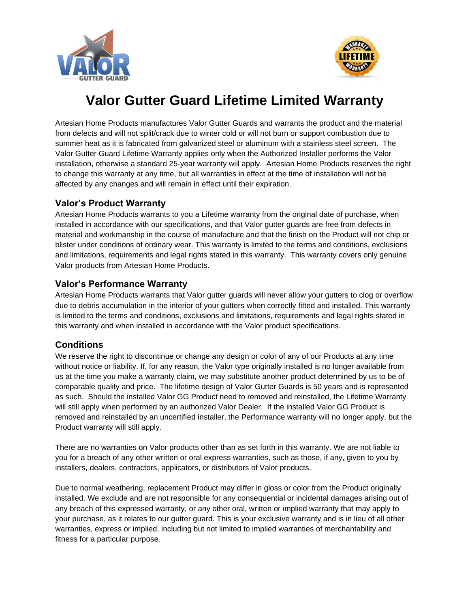



# **Valor Gutter Guard Lifetime Limited Warranty**

Artesian Home Products manufactures Valor Gutter Guards and warrants the product and the material from defects and will not split/crack due to winter cold or will not burn or support combustion due to summer heat as it is fabricated from galvanized steel or aluminum with a stainless steel screen. The Valor Gutter Guard Lifetime Warranty applies only when the Authorized Installer performs the Valor installation, otherwise a standard 25-year warranty will apply. Artesian Home Products reserves the right to change this warranty at any time, but all warranties in effect at the time of installation will not be affected by any changes and will remain in effect until their expiration.

#### **Valor's Product Warranty**

Artesian Home Products warrants to you a Lifetime warranty from the original date of purchase, when installed in accordance with our specifications, and that Valor gutter guards are free from defects in material and workmanship in the course of manufacture and that the finish on the Product will not chip or blister under conditions of ordinary wear. This warranty is limited to the terms and conditions, exclusions and limitations, requirements and legal rights stated in this warranty. This warranty covers only genuine Valor products from Artesian Home Products.

## **Valor's Performance Warranty**

Artesian Home Products warrants that Valor gutter guards will never allow your gutters to clog or overflow due to debris accumulation in the interior of your gutters when correctly fitted and installed. This warranty is limited to the terms and conditions, exclusions and limitations, requirements and legal rights stated in this warranty and when installed in accordance with the Valor product specifications.

## **Conditions**

We reserve the right to discontinue or change any design or color of any of our Products at any time without notice or liability. If, for any reason, the Valor type originally installed is no longer available from us at the time you make a warranty claim, we may substitute another product determined by us to be of comparable quality and price. The lifetime design of Valor Gutter Guards is 50 years and is represented as such. Should the installed Valor GG Product need to removed and reinstalled, the Lifetime Warranty will still apply when performed by an authorized Valor Dealer. If the installed Valor GG Product is removed and reinstalled by an uncertified installer, the Performance warranty will no longer apply, but the Product warranty will still apply.

There are no warranties on Valor products other than as set forth in this warranty. We are not liable to you for a breach of any other written or oral express warranties, such as those, if any, given to you by installers, dealers, contractors, applicators, or distributors of Valor products.

Due to normal weathering, replacement Product may differ in gloss or color from the Product originally installed. We exclude and are not responsible for any consequential or incidental damages arising out of any breach of this expressed warranty, or any other oral, written or implied warranty that may apply to your purchase, as it relates to our gutter guard. This is your exclusive warranty and is in lieu of all other warranties, express or implied, including but not limited to implied warranties of merchantability and fitness for a particular purpose.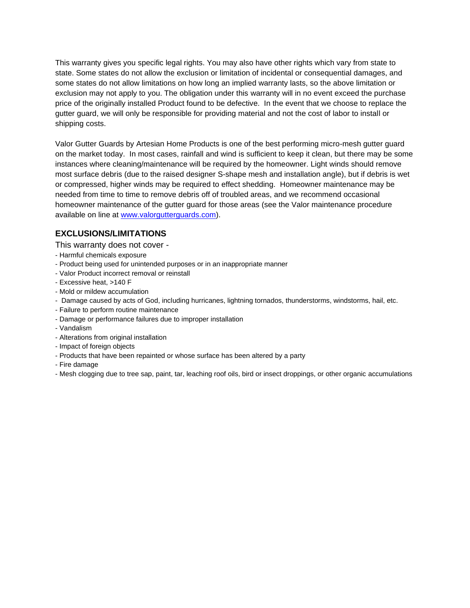This warranty gives you specific legal rights. You may also have other rights which vary from state to state. Some states do not allow the exclusion or limitation of incidental or consequential damages, and some states do not allow limitations on how long an implied warranty lasts, so the above limitation or exclusion may not apply to you. The obligation under this warranty will in no event exceed the purchase price of the originally installed Product found to be defective. In the event that we choose to replace the gutter guard, we will only be responsible for providing material and not the cost of labor to install or shipping costs.

Valor Gutter Guards by Artesian Home Products is one of the best performing micro-mesh gutter guard on the market today. In most cases, rainfall and wind is sufficient to keep it clean, but there may be some instances where cleaning/maintenance will be required by the homeowner. Light winds should remove most surface debris (due to the raised designer S-shape mesh and installation angle), but if debris is wet or compressed, higher winds may be required to effect shedding. Homeowner maintenance may be needed from time to time to remove debris off of troubled areas, and we recommend occasional homeowner maintenance of the gutter guard for those areas (see the Valor maintenance procedure available on line at [www.valorgutterguards.com\)](http://www.valorgutterguards.com/).

#### **EXCLUSIONS/LIMITATIONS**

This warranty does not cover -

- Harmful chemicals exposure
- Product being used for unintended purposes or in an inappropriate manner
- Valor Product incorrect removal or reinstall
- Excessive heat, >140 F
- Mold or mildew accumulation
- Damage caused by acts of God, including hurricanes, lightning tornados, thunderstorms, windstorms, hail, etc.
- Failure to perform routine maintenance
- Damage or performance failures due to improper installation
- Vandalism
- Alterations from original installation
- Impact of foreign objects
- Products that have been repainted or whose surface has been altered by a party
- Fire damage
- Mesh clogging due to tree sap, paint, tar, leaching roof oils, bird or insect droppings, or other organic accumulations